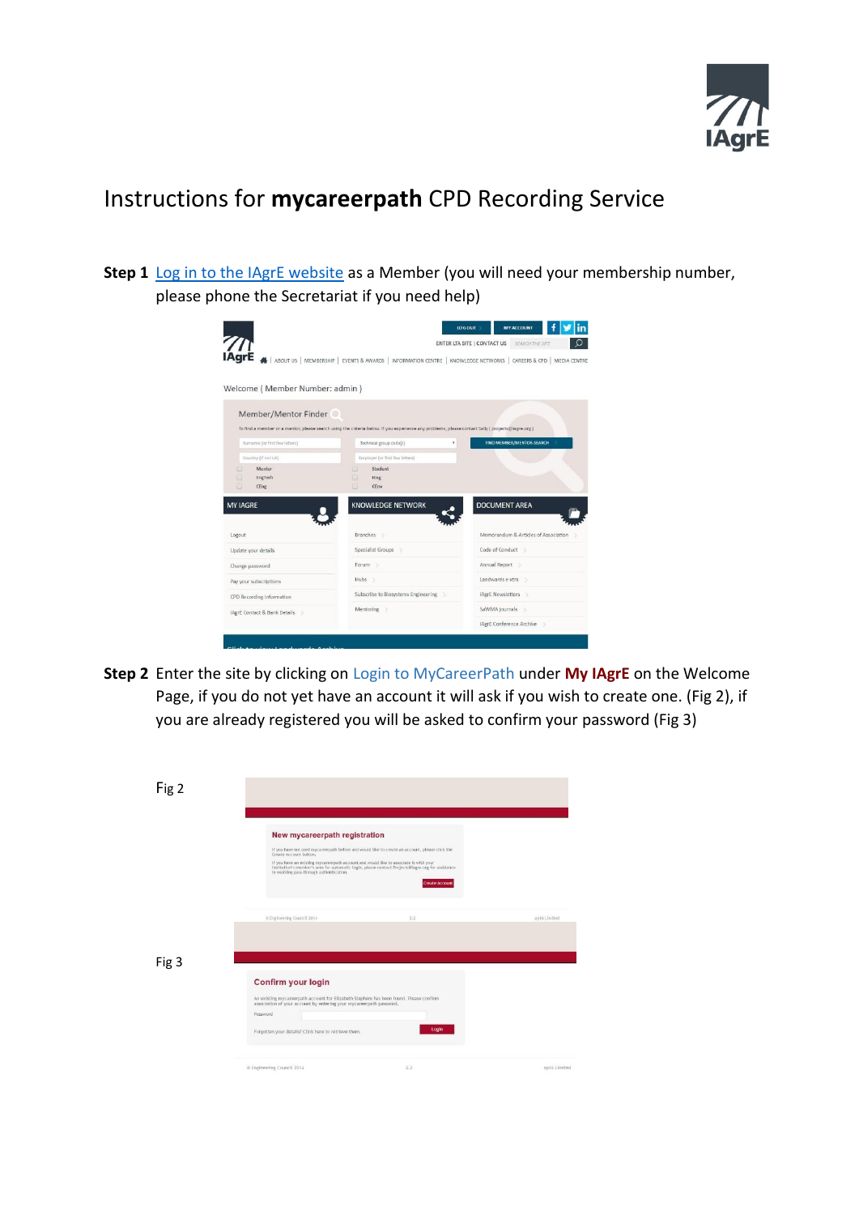

## Instructions for **mycareerpath** CPD Recording Service

**Step 1** [Log in to the IAgrE website](http://www.iagre.org/login) as a Member (you will need your membership number, please phone the Secretariat if you need help)



**Step 2** Enter the site by clicking on Login to MyCareerPath under **My IAgrE** on the Welcome Page, if you do not yet have an account it will ask if you wish to create one. (Fig 2), if you are already registered you will be asked to confirm your password (Fig 3)

| Fig 2 |                                                                                                                                                                                              |                                                                                                                                                                                                                       |              |
|-------|----------------------------------------------------------------------------------------------------------------------------------------------------------------------------------------------|-----------------------------------------------------------------------------------------------------------------------------------------------------------------------------------------------------------------------|--------------|
|       | New mycareerpath registration<br>Create Account button.<br>If you have an existing mycareerpath account and would like to associate it with your<br>in enabling pass-through authentication. | If you have not used mycareerpath before and would like to create an account, please click the<br>institution's member's area for automatic login, please contact Projects@lagre.org for assistance<br>Create Account |              |
|       | C Engineering Council 2014                                                                                                                                                                   | 2.2                                                                                                                                                                                                                   | ap16 Limited |
| Fig 3 | Confirm your login                                                                                                                                                                           |                                                                                                                                                                                                                       |              |
|       | An existing mycareerpath account for Elizabeth Stephens has been found. Please confirm<br>association of your account by entering your mycareerpath password.<br>Password                    |                                                                                                                                                                                                                       |              |
|       | Forgotten your details? Click here to retrieve them.                                                                                                                                         | Login                                                                                                                                                                                                                 |              |
|       | © Engineering Council 2014                                                                                                                                                                   | 2.2                                                                                                                                                                                                                   | ap16 Limited |